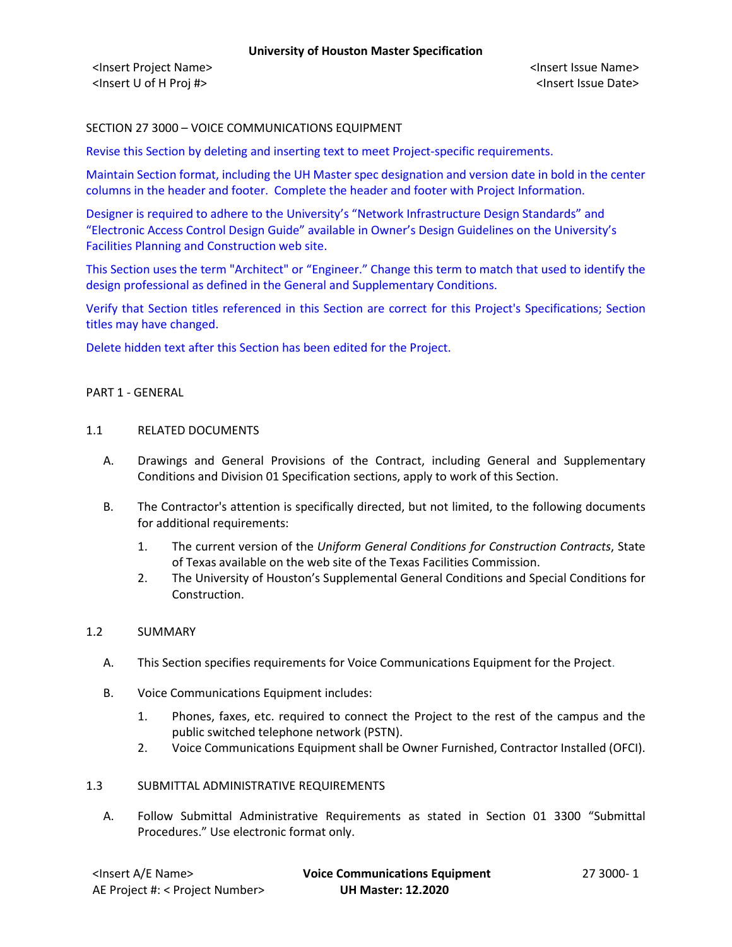# SECTION 27 3000 – VOICE COMMUNICATIONS EQUIPMENT

Revise this Section by deleting and inserting text to meet Project-specific requirements.

Maintain Section format, including the UH Master spec designation and version date in bold in the center columns in the header and footer. Complete the header and footer with Project Information.

Designer is required to adhere to the University's "Network Infrastructure Design Standards" and "Electronic Access Control Design Guide" available in Owner's Design Guidelines on the University's Facilities Planning and Construction web site.

This Section uses the term "Architect" or "Engineer." Change this term to match that used to identify the design professional as defined in the General and Supplementary Conditions.

Verify that Section titles referenced in this Section are correct for this Project's Specifications; Section titles may have changed.

Delete hidden text after this Section has been edited for the Project.

## PART 1 - GENERAL

## 1.1 RELATED DOCUMENTS

- A. Drawings and General Provisions of the Contract, including General and Supplementary Conditions and Division 01 Specification sections, apply to work of this Section.
- B. The Contractor's attention is specifically directed, but not limited, to the following documents for additional requirements:
	- 1. The current version of the *Uniform General Conditions for Construction Contracts*, State of Texas available on the web site of the Texas Facilities Commission.
	- 2. The University of Houston's Supplemental General Conditions and Special Conditions for Construction.

# 1.2 SUMMARY

- A. This Section specifies requirements for Voice Communications Equipment for the Project.
- B. Voice Communications Equipment includes:
	- 1. Phones, faxes, etc. required to connect the Project to the rest of the campus and the public switched telephone network (PSTN).
	- 2. Voice Communications Equipment shall be Owner Furnished, Contractor Installed (OFCI).

# 1.3 SUBMITTAL ADMINISTRATIVE REQUIREMENTS

A. Follow Submittal Administrative Requirements as stated in Section 01 3300 "Submittal Procedures." Use electronic format only.